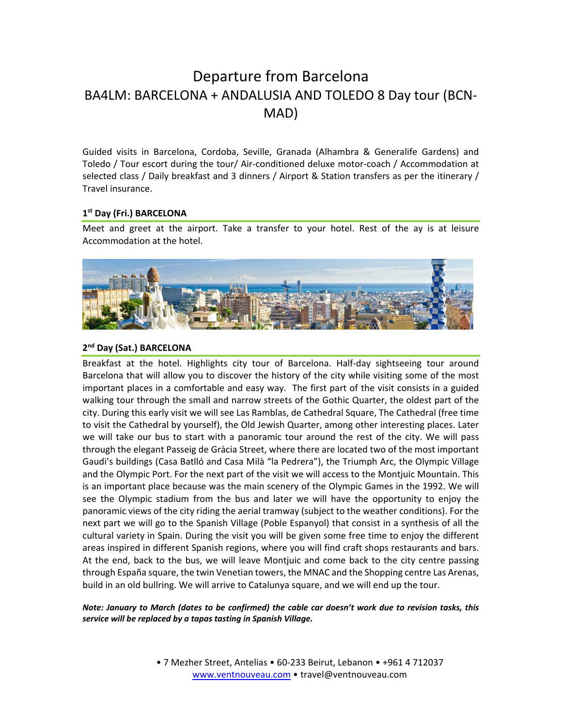# Departure from Barcelona BA4LM: BARCELONA + ANDALUSIA AND TOLEDO 8 Day tour (BCN‐ MAD)

Guided visits in Barcelona, Cordoba, Seville, Granada (Alhambra & Generalife Gardens) and Toledo / Tour escort during the tour/ Air‐conditioned deluxe motor‐coach / Accommodation at selected class / Daily breakfast and 3 dinners / Airport & Station transfers as per the itinerary / Travel insurance.

#### **1st Day (Fri.) BARCELONA**

Meet and greet at the airport. Take a transfer to your hotel. Rest of the ay is at leisure Accommodation at the hotel.



# **2nd Day (Sat.) BARCELONA**

Breakfast at the hotel. Highlights city tour of Barcelona. Half‐day sightseeing tour around Barcelona that will allow you to discover the history of the city while visiting some of the most important places in a comfortable and easy way. The first part of the visit consists in a guided walking tour through the small and narrow streets of the Gothic Quarter, the oldest part of the city. During this early visit we will see Las Ramblas, de Cathedral Square, The Cathedral (free time to visit the Cathedral by yourself), the Old Jewish Quarter, among other interesting places. Later we will take our bus to start with a panoramic tour around the rest of the city. We will pass through the elegant Passeig de Gràcia Street, where there are located two of the most important Gaudi's buildings (Casa Batlló and Casa Milà "la Pedrera"), the Triumph Arc, the Olympic Village and the Olympic Port. For the next part of the visit we will access to the Montjuic Mountain. This is an important place because was the main scenery of the Olympic Games in the 1992. We will see the Olympic stadium from the bus and later we will have the opportunity to enjoy the panoramic views of the city riding the aerial tramway (subject to the weather conditions). For the next part we will go to the Spanish Village (Poble Espanyol) that consist in a synthesis of all the cultural variety in Spain. During the visit you will be given some free time to enjoy the different areas inspired in different Spanish regions, where you will find craft shops restaurants and bars. At the end, back to the bus, we will leave Montjuic and come back to the city centre passing through España square, the twin Venetian towers, the MNAC and the Shopping centre Las Arenas, build in an old bullring. We will arrive to Catalunya square, and we will end up the tour.

#### *Note: January to March (dates to be confirmed) the cable car doesn't work due to revision tasks, this service will be replaced by a tapas tasting in Spanish Village.*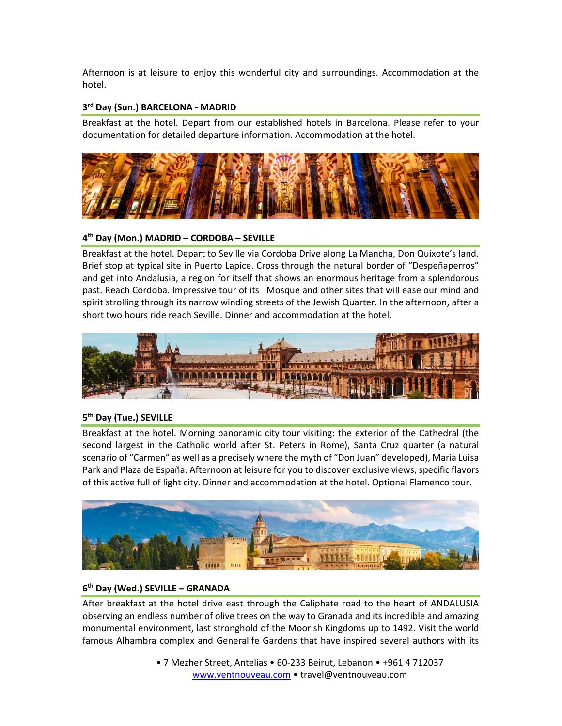Afternoon is at leisure to enjoy this wonderful city and surroundings. Accommodation at the hotel.

# **3rd Day (Sun.) BARCELONA ‐ MADRID**

Breakfast at the hotel. Depart from our established hotels in Barcelona. Please refer to your documentation for detailed departure information. Accommodation at the hotel.



# **4th Day (Mon.) MADRID – CORDOBA – SEVILLE**

Breakfast at the hotel. Depart to Seville via Cordoba Drive along La Mancha, Don Quixote's land. Brief stop at typical site in Puerto Lapice. Cross through the natural border of "Despeñaperros" and get into Andalusia, a region for itself that shows an enormous heritage from a splendorous past. Reach Cordoba. Impressive tour of its Mosque and other sites that will ease our mind and spirit strolling through its narrow winding streets of the Jewish Quarter. In the afternoon, after a short two hours ride reach Seville. Dinner and accommodation at the hotel.



# **5th Day (Tue.) SEVILLE**

Breakfast at the hotel. Morning panoramic city tour visiting: the exterior of the Cathedral (the second largest in the Catholic world after St. Peters in Rome), Santa Cruz quarter (a natural scenario of "Carmen" as well as a precisely where the myth of "Don Juan" developed), Maria Luisa Park and Plaza de España. Afternoon at leisure for you to discover exclusive views, specific flavors of this active full of light city. Dinner and accommodation at the hotel. Optional Flamenco tour.



# **6th Day (Wed.) SEVILLE – GRANADA**

After breakfast at the hotel drive east through the Caliphate road to the heart of ANDALUSIA observing an endless number of olive trees on the way to Granada and its incredible and amazing monumental environment, last stronghold of the Moorish Kingdoms up to 1492. Visit the world famous Alhambra complex and Generalife Gardens that have inspired several authors with its